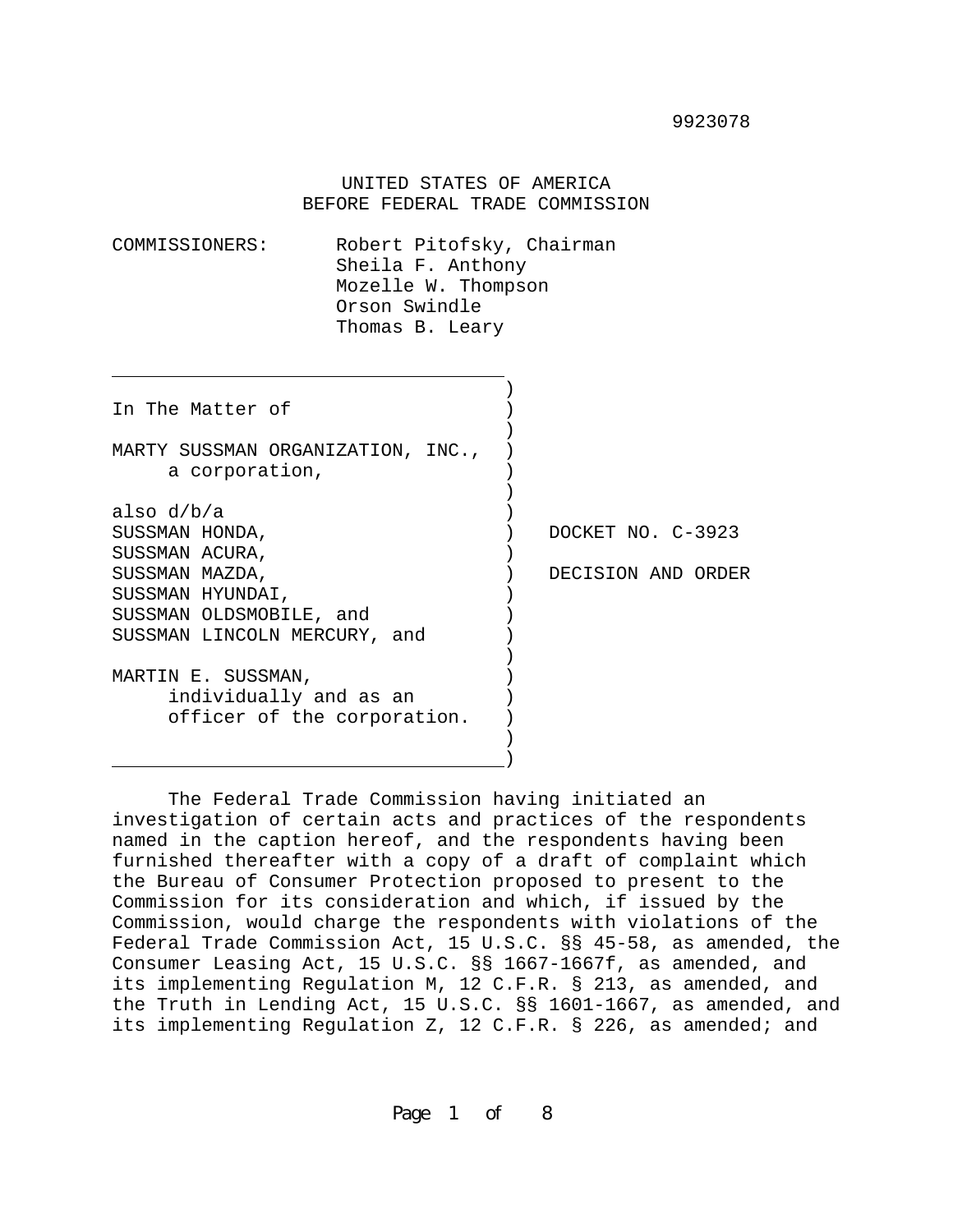#### UNITED STATES OF AMERICA BEFORE FEDERAL TRADE COMMISSION

COMMISSIONERS: Robert Pitofsky, Chairman Sheila F. Anthony Mozelle W. Thompson Orson Swindle Thomas B. Leary

| In The Matter of                  |                    |
|-----------------------------------|--------------------|
|                                   |                    |
| MARTY SUSSMAN ORGANIZATION, INC., |                    |
| a corporation,                    |                    |
|                                   |                    |
| also d/b/a                        |                    |
| SUSSMAN HONDA,                    | DOCKET NO. C-3923  |
| SUSSMAN ACURA,                    |                    |
| SUSSMAN MAZDA,                    | DECISION AND ORDER |
| SUSSMAN HYUNDAI,                  |                    |
| SUSSMAN OLDSMOBILE, and           |                    |
| SUSSMAN LINCOLN MERCURY, and      |                    |
|                                   |                    |
| MARTIN E. SUSSMAN,                |                    |
| individually and as an            |                    |
| officer of the corporation.       |                    |
|                                   |                    |
|                                   |                    |

The Federal Trade Commission having initiated an investigation of certain acts and practices of the respondents named in the caption hereof, and the respondents having been furnished thereafter with a copy of a draft of complaint which the Bureau of Consumer Protection proposed to present to the Commission for its consideration and which, if issued by the Commission, would charge the respondents with violations of the Federal Trade Commission Act, 15 U.S.C. §§ 45-58, as amended, the Consumer Leasing Act, 15 U.S.C. §§ 1667-1667f, as amended, and its implementing Regulation M, 12 C.F.R. § 213, as amended, and the Truth in Lending Act, 15 U.S.C. §§ 1601-1667, as amended, and its implementing Regulation Z, 12 C.F.R. § 226, as amended; and

Page 1 of 8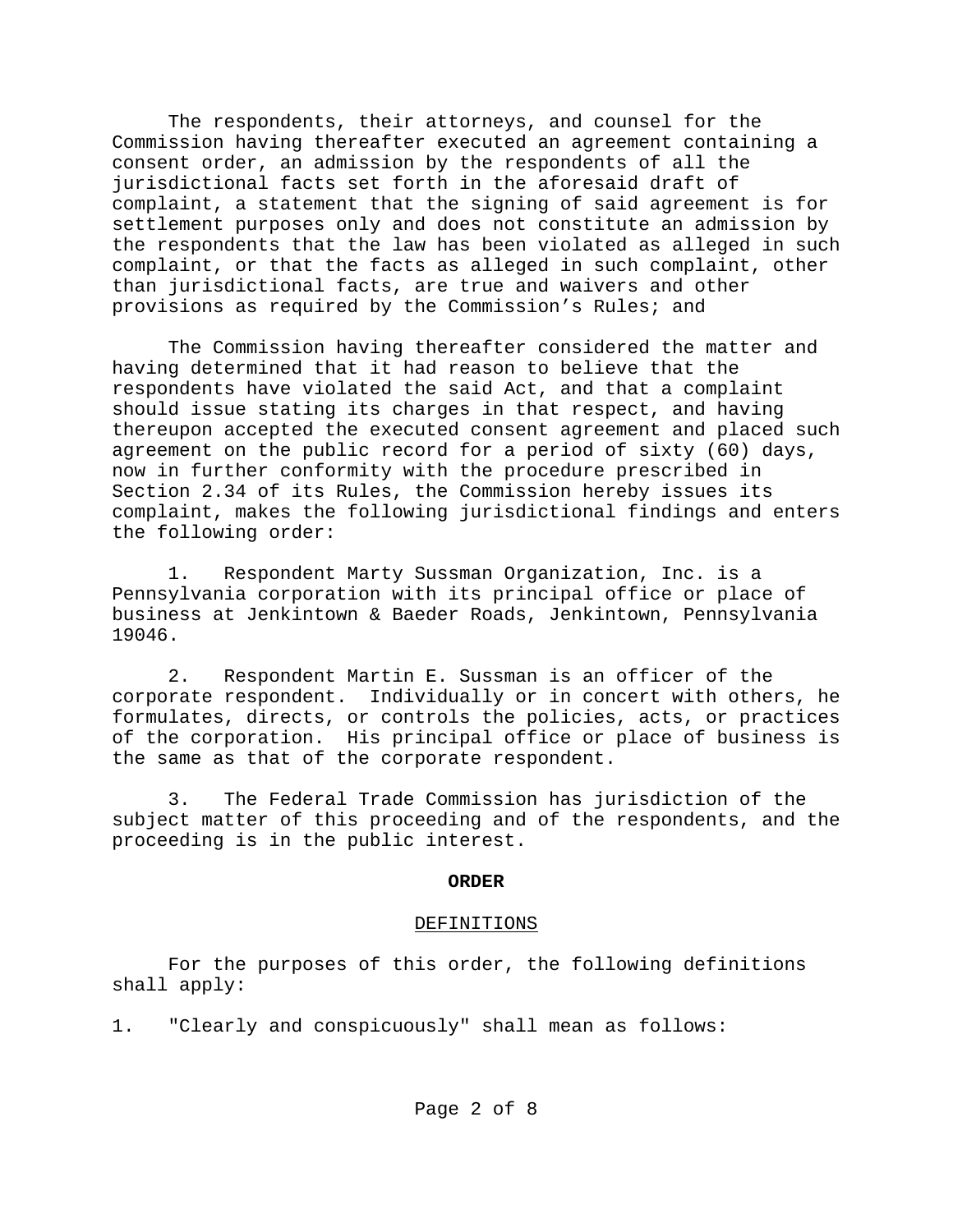The respondents, their attorneys, and counsel for the Commission having thereafter executed an agreement containing a consent order, an admission by the respondents of all the jurisdictional facts set forth in the aforesaid draft of complaint, a statement that the signing of said agreement is for settlement purposes only and does not constitute an admission by the respondents that the law has been violated as alleged in such complaint, or that the facts as alleged in such complaint, other than jurisdictional facts, are true and waivers and other provisions as required by the Commission's Rules; and

The Commission having thereafter considered the matter and having determined that it had reason to believe that the respondents have violated the said Act, and that a complaint should issue stating its charges in that respect, and having thereupon accepted the executed consent agreement and placed such agreement on the public record for a period of sixty (60) days, now in further conformity with the procedure prescribed in Section 2.34 of its Rules, the Commission hereby issues its complaint, makes the following jurisdictional findings and enters the following order:

1. Respondent Marty Sussman Organization, Inc. is a Pennsylvania corporation with its principal office or place of business at Jenkintown & Baeder Roads, Jenkintown, Pennsylvania 19046.

2. Respondent Martin E. Sussman is an officer of the corporate respondent. Individually or in concert with others, he formulates, directs, or controls the policies, acts, or practices of the corporation. His principal office or place of business is the same as that of the corporate respondent.

3. The Federal Trade Commission has jurisdiction of the subject matter of this proceeding and of the respondents, and the proceeding is in the public interest.

## **ORDER**

## DEFINITIONS

For the purposes of this order, the following definitions shall apply:

1. "Clearly and conspicuously" shall mean as follows: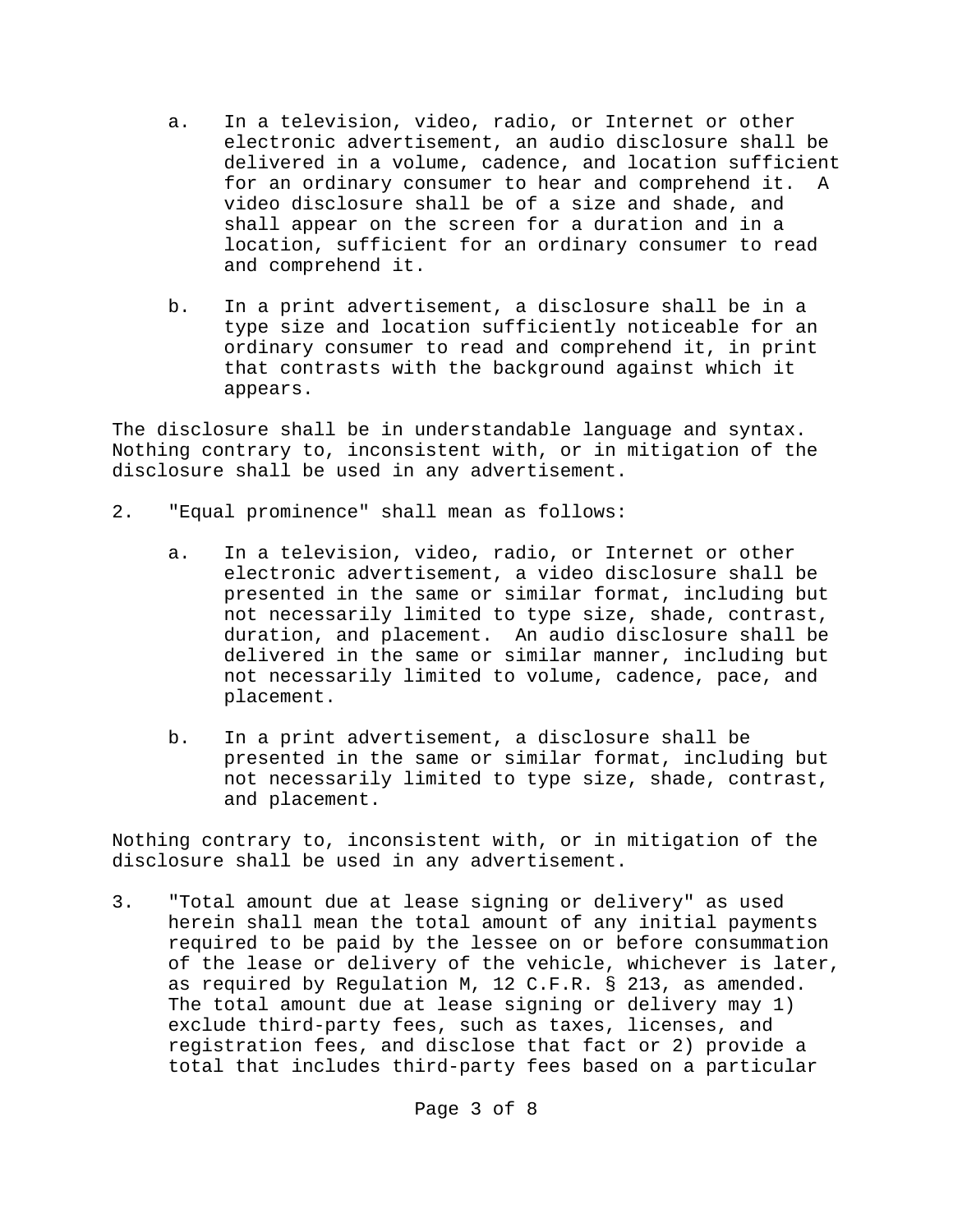- a. In a television, video, radio, or Internet or other electronic advertisement, an audio disclosure shall be delivered in a volume, cadence, and location sufficient for an ordinary consumer to hear and comprehend it. A video disclosure shall be of a size and shade, and shall appear on the screen for a duration and in a location, sufficient for an ordinary consumer to read and comprehend it.
- b. In a print advertisement, a disclosure shall be in a type size and location sufficiently noticeable for an ordinary consumer to read and comprehend it, in print that contrasts with the background against which it appears.

The disclosure shall be in understandable language and syntax. Nothing contrary to, inconsistent with, or in mitigation of the disclosure shall be used in any advertisement.

- 2. "Equal prominence" shall mean as follows:
	- a. In a television, video, radio, or Internet or other electronic advertisement, a video disclosure shall be presented in the same or similar format, including but not necessarily limited to type size, shade, contrast, duration, and placement. An audio disclosure shall be delivered in the same or similar manner, including but not necessarily limited to volume, cadence, pace, and placement.
	- b. In a print advertisement, a disclosure shall be presented in the same or similar format, including but not necessarily limited to type size, shade, contrast, and placement.

Nothing contrary to, inconsistent with, or in mitigation of the disclosure shall be used in any advertisement.

3. "Total amount due at lease signing or delivery" as used herein shall mean the total amount of any initial payments required to be paid by the lessee on or before consummation of the lease or delivery of the vehicle, whichever is later, as required by Regulation M, 12 C.F.R. § 213, as amended. The total amount due at lease signing or delivery may 1) exclude third-party fees, such as taxes, licenses, and registration fees, and disclose that fact or 2) provide a total that includes third-party fees based on a particular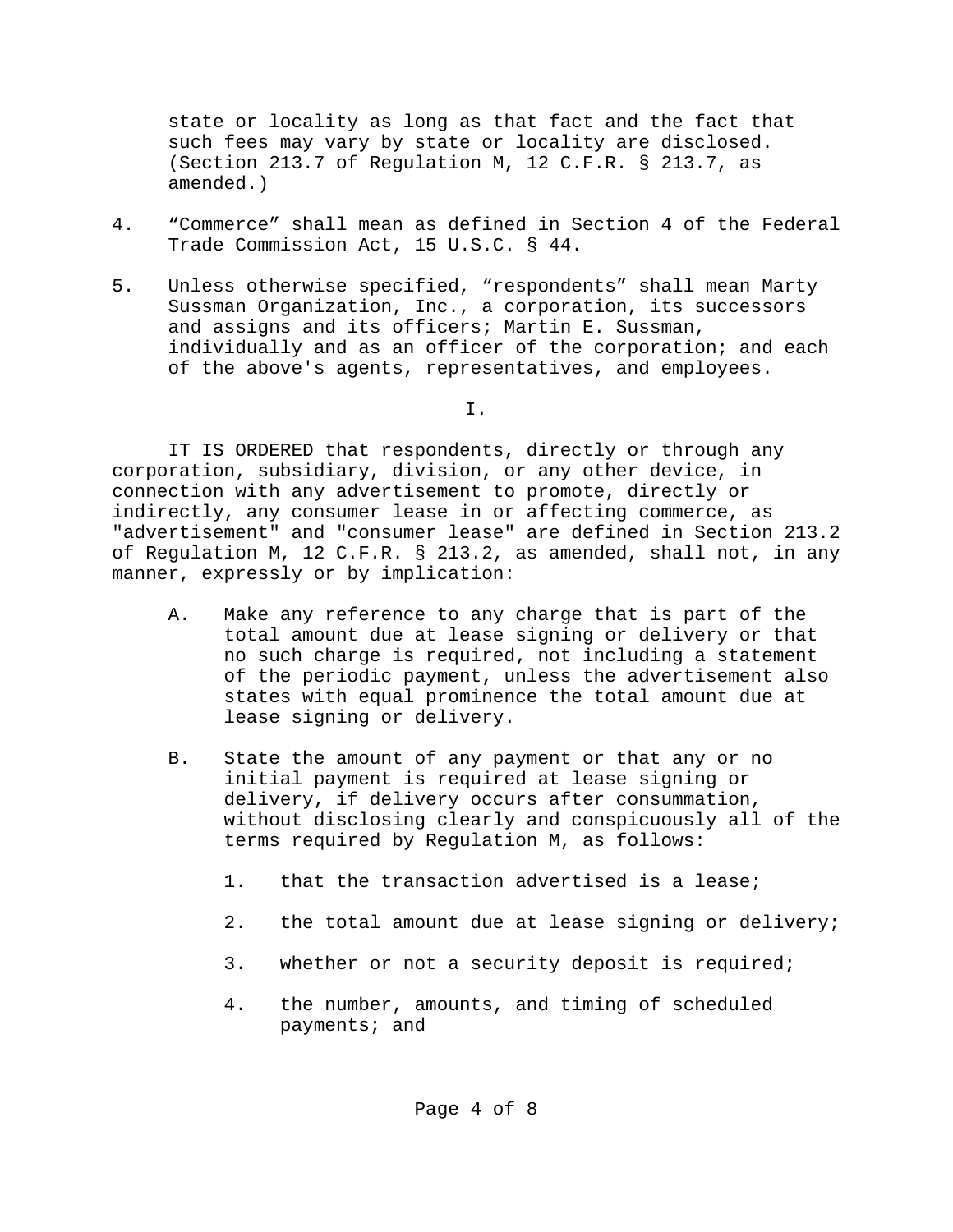state or locality as long as that fact and the fact that such fees may vary by state or locality are disclosed. (Section 213.7 of Regulation M, 12 C.F.R. § 213.7, as amended.)

- 4. "Commerce" shall mean as defined in Section 4 of the Federal Trade Commission Act, 15 U.S.C. § 44.
- 5. Unless otherwise specified, "respondents" shall mean Marty Sussman Organization, Inc., a corporation, its successors and assigns and its officers; Martin E. Sussman, individually and as an officer of the corporation; and each of the above's agents, representatives, and employees.

I.

IT IS ORDERED that respondents, directly or through any corporation, subsidiary, division, or any other device, in connection with any advertisement to promote, directly or indirectly, any consumer lease in or affecting commerce, as "advertisement" and "consumer lease" are defined in Section 213.2 of Regulation M, 12 C.F.R. § 213.2, as amended, shall not, in any manner, expressly or by implication:

- A. Make any reference to any charge that is part of the total amount due at lease signing or delivery or that no such charge is required, not including a statement of the periodic payment, unless the advertisement also states with equal prominence the total amount due at lease signing or delivery.
- B. State the amount of any payment or that any or no initial payment is required at lease signing or delivery, if delivery occurs after consummation, without disclosing clearly and conspicuously all of the terms required by Regulation M, as follows:
	- 1. that the transaction advertised is a lease;
	- 2. the total amount due at lease signing or delivery;
	- 3. whether or not a security deposit is required;
	- 4. the number, amounts, and timing of scheduled payments; and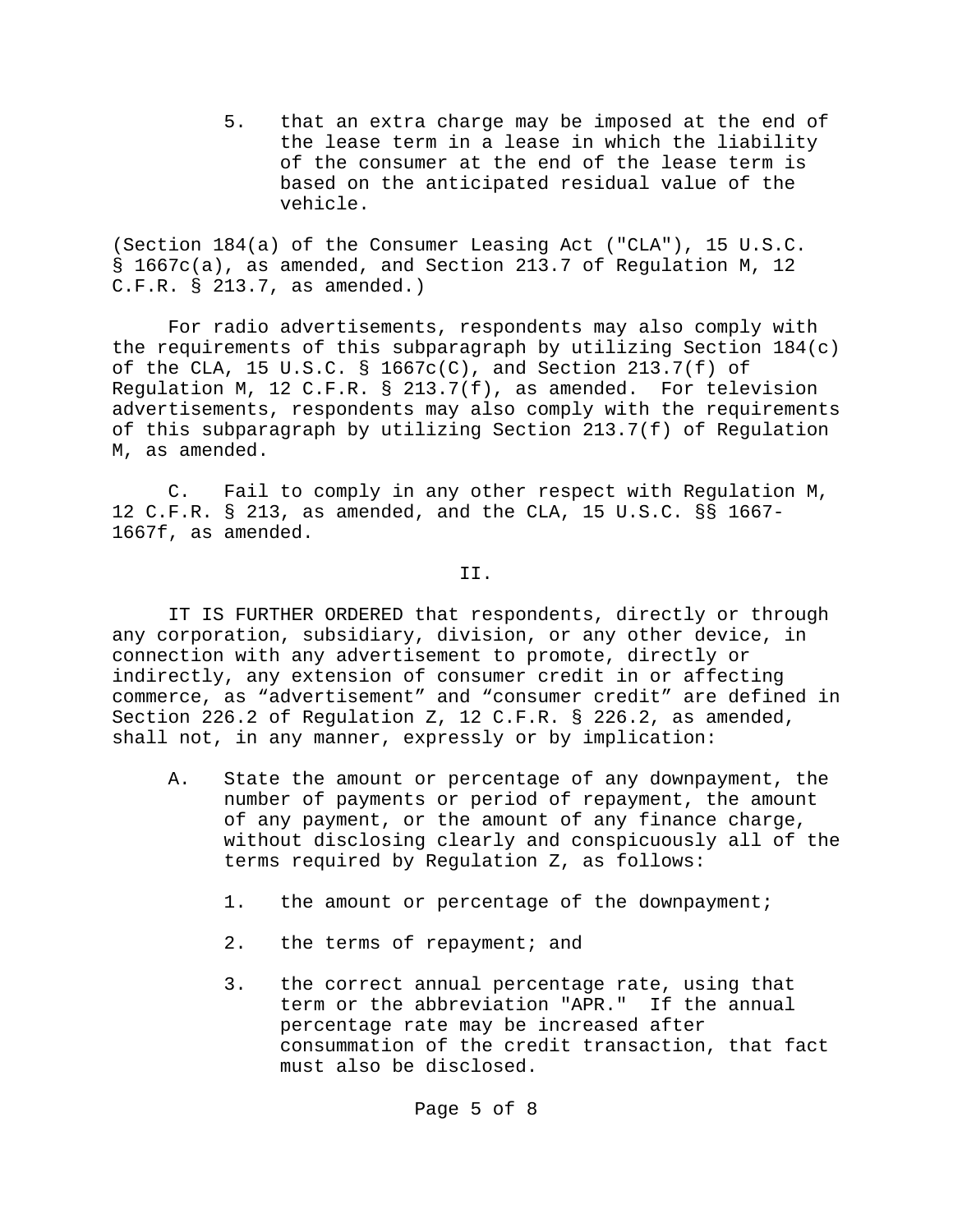5. that an extra charge may be imposed at the end of the lease term in a lease in which the liability of the consumer at the end of the lease term is based on the anticipated residual value of the vehicle.

(Section 184(a) of the Consumer Leasing Act ("CLA"), 15 U.S.C. § 1667c(a), as amended, and Section 213.7 of Regulation M, 12 C.F.R. § 213.7, as amended.)

For radio advertisements, respondents may also comply with the requirements of this subparagraph by utilizing Section  $184(c)$ of the CLA, 15 U.S.C. § 1667c(C), and Section 213.7(f) of Regulation M, 12 C.F.R. § 213.7(f), as amended. For television advertisements, respondents may also comply with the requirements of this subparagraph by utilizing Section 213.7(f) of Regulation M, as amended.

C. Fail to comply in any other respect with Regulation M, 12 C.F.R. § 213, as amended, and the CLA, 15 U.S.C. §§ 1667- 1667f, as amended.

II.

IT IS FURTHER ORDERED that respondents, directly or through any corporation, subsidiary, division, or any other device, in connection with any advertisement to promote, directly or indirectly, any extension of consumer credit in or affecting commerce, as "advertisement" and "consumer credit" are defined in Section 226.2 of Regulation Z, 12 C.F.R. § 226.2, as amended, shall not, in any manner, expressly or by implication:

- A. State the amount or percentage of any downpayment, the number of payments or period of repayment, the amount of any payment, or the amount of any finance charge, without disclosing clearly and conspicuously all of the terms required by Regulation Z, as follows:
	- 1. the amount or percentage of the downpayment;
	- 2. the terms of repayment; and
	- 3. the correct annual percentage rate, using that term or the abbreviation "APR." If the annual percentage rate may be increased after consummation of the credit transaction, that fact must also be disclosed.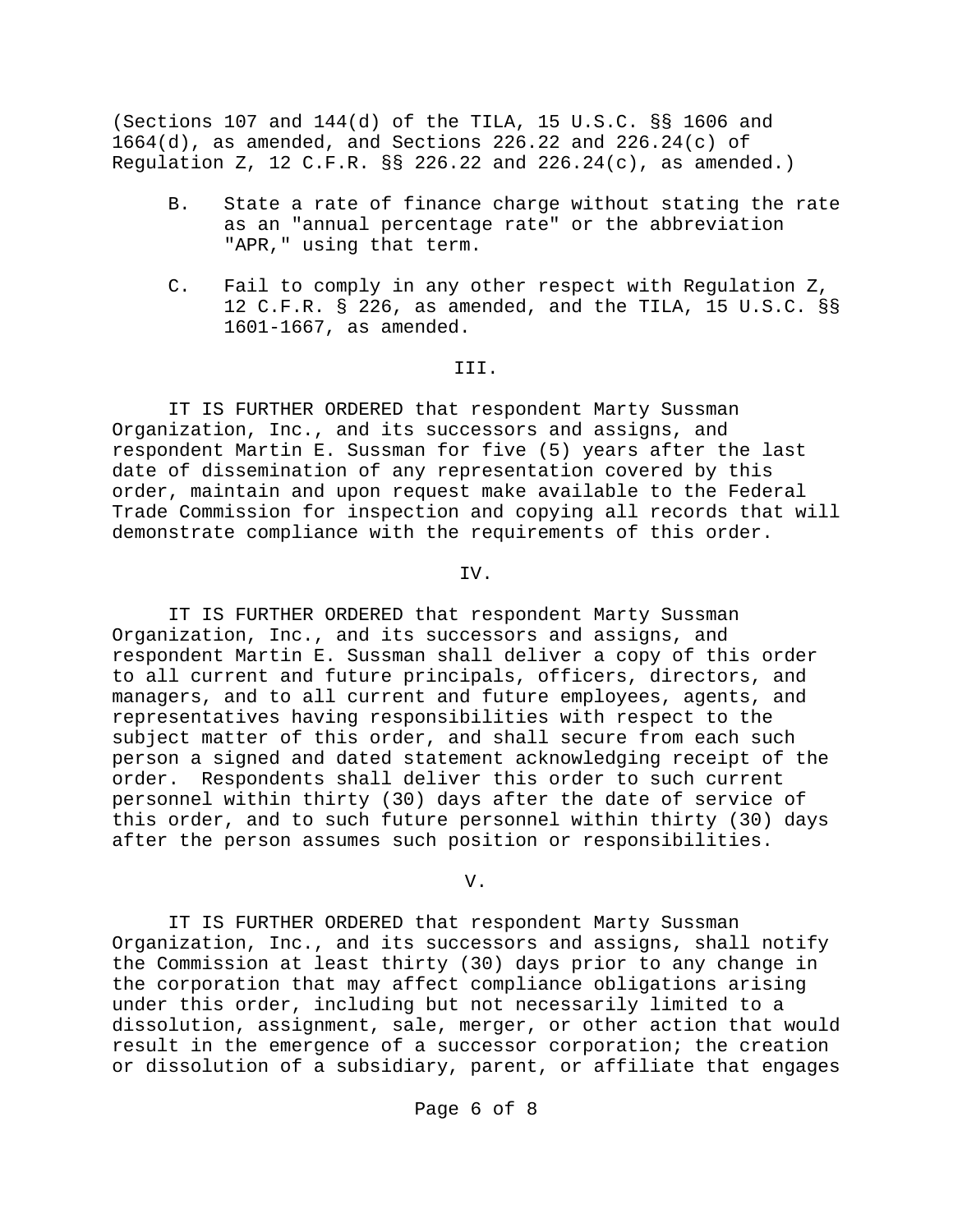(Sections 107 and 144(d) of the TILA, 15 U.S.C. §§ 1606 and  $1664(d)$ , as amended, and Sections 226.22 and 226.24(c) of Requlation Z, 12 C.F.R.  $\S$  226.22 and 226.24(c), as amended.)

- B. State a rate of finance charge without stating the rate as an "annual percentage rate" or the abbreviation "APR," using that term.
- C. Fail to comply in any other respect with Regulation Z, 12 C.F.R. § 226, as amended, and the TILA, 15 U.S.C. §§ 1601-1667, as amended.

#### III.

IT IS FURTHER ORDERED that respondent Marty Sussman Organization, Inc., and its successors and assigns, and respondent Martin E. Sussman for five (5) years after the last date of dissemination of any representation covered by this order, maintain and upon request make available to the Federal Trade Commission for inspection and copying all records that will demonstrate compliance with the requirements of this order.

IV.

IT IS FURTHER ORDERED that respondent Marty Sussman Organization, Inc., and its successors and assigns, and respondent Martin E. Sussman shall deliver a copy of this order to all current and future principals, officers, directors, and managers, and to all current and future employees, agents, and representatives having responsibilities with respect to the subject matter of this order, and shall secure from each such person a signed and dated statement acknowledging receipt of the order. Respondents shall deliver this order to such current personnel within thirty (30) days after the date of service of this order, and to such future personnel within thirty (30) days after the person assumes such position or responsibilities.

V.

IT IS FURTHER ORDERED that respondent Marty Sussman Organization, Inc., and its successors and assigns, shall notify the Commission at least thirty (30) days prior to any change in the corporation that may affect compliance obligations arising under this order, including but not necessarily limited to a dissolution, assignment, sale, merger, or other action that would result in the emergence of a successor corporation; the creation or dissolution of a subsidiary, parent, or affiliate that engages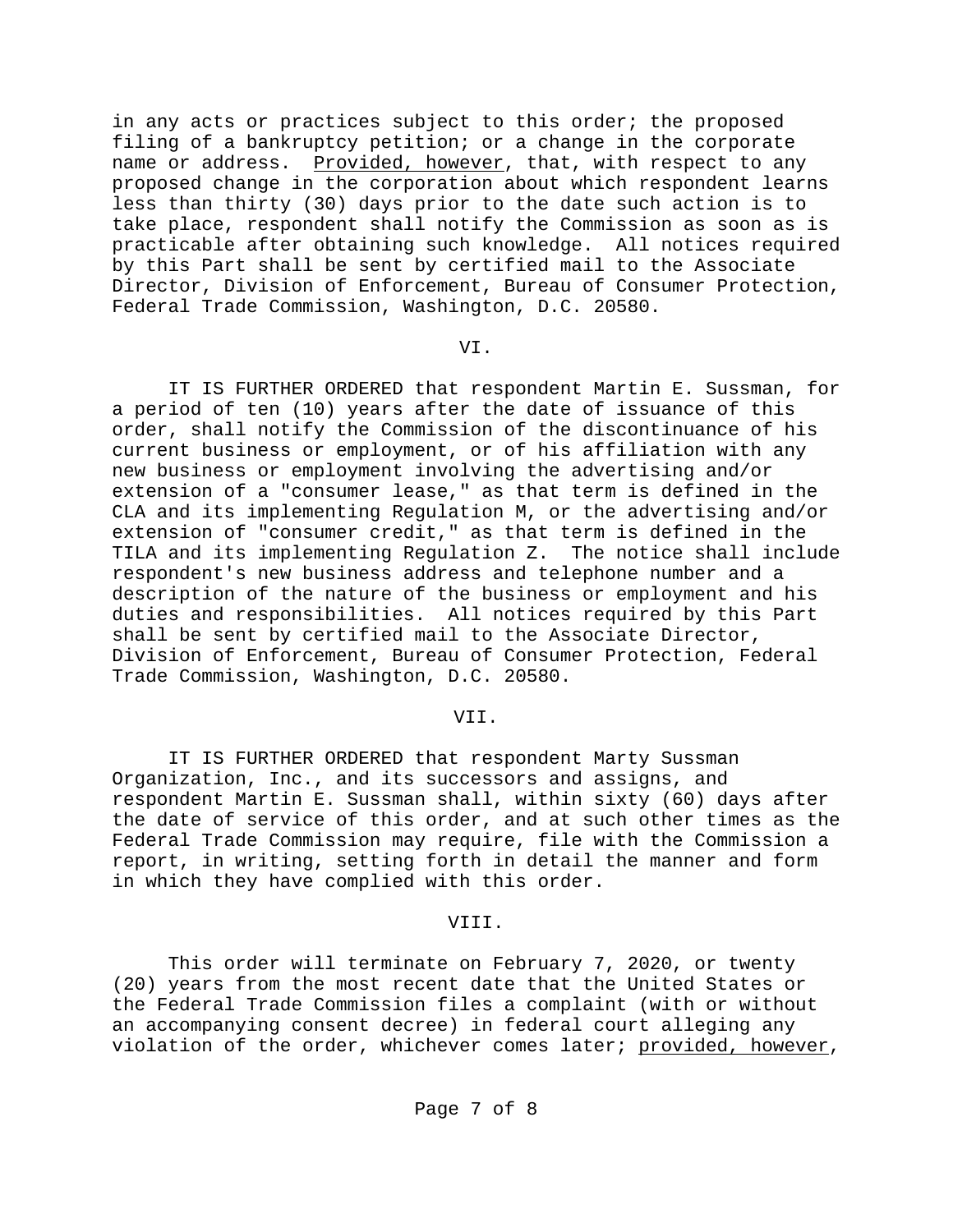in any acts or practices subject to this order; the proposed filing of a bankruptcy petition; or a change in the corporate name or address. Provided, however, that, with respect to any proposed change in the corporation about which respondent learns less than thirty (30) days prior to the date such action is to take place, respondent shall notify the Commission as soon as is practicable after obtaining such knowledge. All notices required by this Part shall be sent by certified mail to the Associate Director, Division of Enforcement, Bureau of Consumer Protection, Federal Trade Commission, Washington, D.C. 20580.

VI.

IT IS FURTHER ORDERED that respondent Martin E. Sussman, for a period of ten (10) years after the date of issuance of this order, shall notify the Commission of the discontinuance of his current business or employment, or of his affiliation with any new business or employment involving the advertising and/or extension of a "consumer lease," as that term is defined in the CLA and its implementing Regulation M, or the advertising and/or extension of "consumer credit," as that term is defined in the TILA and its implementing Regulation Z. The notice shall include respondent's new business address and telephone number and a description of the nature of the business or employment and his duties and responsibilities. All notices required by this Part shall be sent by certified mail to the Associate Director, Division of Enforcement, Bureau of Consumer Protection, Federal Trade Commission, Washington, D.C. 20580.

VII.

IT IS FURTHER ORDERED that respondent Marty Sussman Organization, Inc., and its successors and assigns, and respondent Martin E. Sussman shall, within sixty (60) days after the date of service of this order, and at such other times as the Federal Trade Commission may require, file with the Commission a report, in writing, setting forth in detail the manner and form in which they have complied with this order.

# VIII.

This order will terminate on February 7, 2020, or twenty (20) years from the most recent date that the United States or the Federal Trade Commission files a complaint (with or without an accompanying consent decree) in federal court alleging any violation of the order, whichever comes later; provided, however,